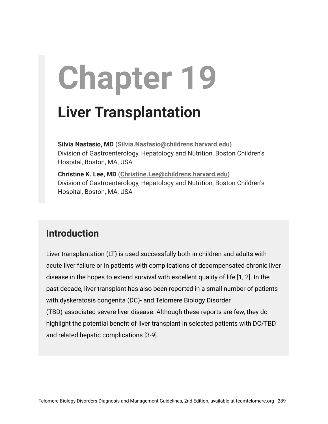# **Chapter 19**

# **Liver Transplantation**

**Silvia Nastasio, MD ([Silvia.Nastasio@childrens.harvard.edu\)](mailto:Silvia.nastasio@childrens.harvard.edu)** Division of Gastroenterology, Hepatology and Nutrition, Boston Children's Hospital, Boston, MA, USA

**Christine K. Lee, MD ([Christine.Lee@childrens.harvard.edu\)](mailto:Christine.Lee@childrens.harvard.edu)** Division of Gastroenterology, Hepatology and Nutrition, Boston Children's Hospital, Boston, MA, USA

## **Introduction**

Liver transplantation (LT) is used successfully both in children and adults with acute liver failure or in patients with complications of decompensated chronic liver disease in the hopes to extend survival with excellent quality of life [1, 2]. In the past decade, liver transplant has also been reported in a small number of patients with dyskeratosis congenita (DC)- and Telomere Biology Disorder (TBD)-associated severe liver disease. Although these reports are few, they do highlight the potential benefit of liver transplant in selected patients with DC/TBD and related hepatic complications [3-9].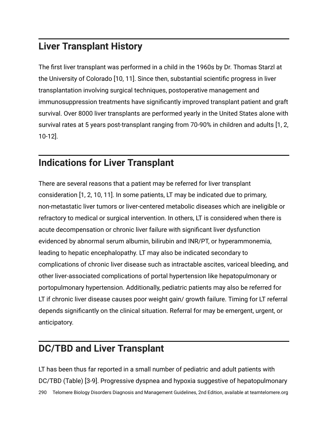# **Liver Transplant History**

The first liver transplant was performed in a child in the 1960s by Dr. Thomas Starzl at the University of Colorado [10, 11]. Since then, substantial scientific progress in liver transplantation involving surgical techniques, postoperative management and immunosuppression treatments have significantly improved transplant patient and graft survival. Over 8000 liver transplants are performed yearly in the United States alone with survival rates at 5 years post-transplant ranging from 70-90% in children and adults [1, 2, 10-12].

# **Indications for Liver Transplant**

There are several reasons that a patient may be referred for liver transplant consideration [1, 2, 10, 11]. In some patients, LT may be indicated due to primary, non-metastatic liver tumors or liver-centered metabolic diseases which are ineligible or refractory to medical or surgical intervention. In others, LT is considered when there is acute decompensation or chronic liver failure with significant liver dysfunction evidenced by abnormal serum albumin, bilirubin and INR/PT, or hyperammonemia, leading to hepatic encephalopathy. LT may also be indicated secondary to complications of chronic liver disease such as intractable ascites, variceal bleeding, and other liver-associated complications of portal hypertension like hepatopulmonary or portopulmonary hypertension. Additionally, pediatric patients may also be referred for LT if chronic liver disease causes poor weight gain/ growth failure. Timing for LT referral depends significantly on the clinical situation. Referral for may be emergent, urgent, or anticipatory.

## **DC/TBD and Liver Transplant**

LT has been thus far reported in a small number of pediatric and adult patients with DC/TBD (Table) [3-9]. Progressive dyspnea and hypoxia suggestive of hepatopulmonary 290 Telomere Biology Disorders Diagnosis and Management Guidelines, 2nd Edition, available at teamtelomere.org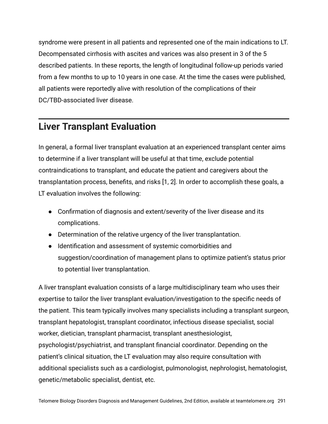syndrome were present in all patients and represented one of the main indications to LT. Decompensated cirrhosis with ascites and varices was also present in 3 of the 5 described patients. In these reports, the length of longitudinal follow-up periods varied from a few months to up to 10 years in one case. At the time the cases were published, all patients were reportedly alive with resolution of the complications of their DC/TBD-associated liver disease.

#### **Liver Transplant Evaluation**

In general, a formal liver transplant evaluation at an experienced transplant center aims to determine if a liver transplant will be useful at that time, exclude potential contraindications to transplant, and educate the patient and caregivers about the transplantation process, benefits, and risks [1, 2]. In order to accomplish these goals, a LT evaluation involves the following:

- Confirmation of diagnosis and extent/severity of the liver disease and its complications.
- Determination of the relative urgency of the liver transplantation.
- Identification and assessment of systemic comorbidities and suggestion/coordination of management plans to optimize patient's status prior to potential liver transplantation.

A liver transplant evaluation consists of a large multidisciplinary team who uses their expertise to tailor the liver transplant evaluation/investigation to the specific needs of the patient. This team typically involves many specialists including a transplant surgeon, transplant hepatologist, transplant coordinator, infectious disease specialist, social worker, dietician, transplant pharmacist, transplant anesthesiologist, psychologist/psychiatrist, and transplant financial coordinator. Depending on the patient's clinical situation, the LT evaluation may also require consultation with additional specialists such as a cardiologist, pulmonologist, nephrologist, hematologist, genetic/metabolic specialist, dentist, etc.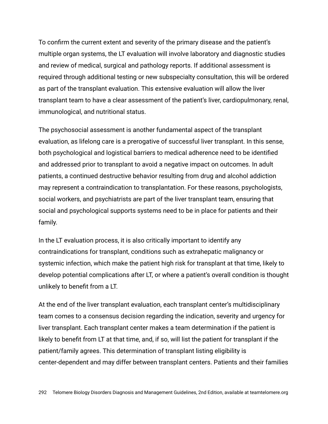To confirm the current extent and severity of the primary disease and the patient's multiple organ systems, the LT evaluation will involve laboratory and diagnostic studies and review of medical, surgical and pathology reports. If additional assessment is required through additional testing or new subspecialty consultation, this will be ordered as part of the transplant evaluation. This extensive evaluation will allow the liver transplant team to have a clear assessment of the patient's liver, cardiopulmonary, renal, immunological, and nutritional status.

The psychosocial assessment is another fundamental aspect of the transplant evaluation, as lifelong care is a prerogative of successful liver transplant. In this sense, both psychological and logistical barriers to medical adherence need to be identified and addressed prior to transplant to avoid a negative impact on outcomes. In adult patients, a continued destructive behavior resulting from drug and alcohol addiction may represent a contraindication to transplantation. For these reasons, psychologists, social workers, and psychiatrists are part of the liver transplant team, ensuring that social and psychological supports systems need to be in place for patients and their family.

In the LT evaluation process, it is also critically important to identify any contraindications for transplant, conditions such as extrahepatic malignancy or systemic infection, which make the patient high risk for transplant at that time, likely to develop potential complications after LT, or where a patient's overall condition is thought unlikely to benefit from a LT.

At the end of the liver transplant evaluation, each transplant center's multidisciplinary team comes to a consensus decision regarding the indication, severity and urgency for liver transplant. Each transplant center makes a team determination if the patient is likely to benefit from LT at that time, and, if so, will list the patient for transplant if the patient/family agrees. This determination of transplant listing eligibility is center-dependent and may differ between transplant centers. Patients and their families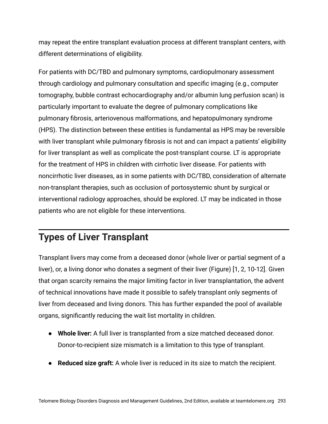may repeat the entire transplant evaluation process at different transplant centers, with different determinations of eligibility.

For patients with DC/TBD and pulmonary symptoms, cardiopulmonary assessment through cardiology and pulmonary consultation and specific imaging (e.g., computer tomography, bubble contrast echocardiography and/or albumin lung perfusion scan) is particularly important to evaluate the degree of pulmonary complications like pulmonary fibrosis, arteriovenous malformations, and hepatopulmonary syndrome (HPS). The distinction between these entities is fundamental as HPS may be reversible with liver transplant while pulmonary fibrosis is not and can impact a patients' eligibility for liver transplant as well as complicate the post-transplant course. LT is appropriate for the treatment of HPS in children with cirrhotic liver disease. For patients with noncirrhotic liver diseases, as in some patients with DC/TBD, consideration of alternate non-transplant therapies, such as occlusion of portosystemic shunt by surgical or interventional radiology approaches, should be explored. LT may be indicated in those patients who are not eligible for these interventions.

# **Types of Liver Transplant**

Transplant livers may come from a deceased donor (whole liver or partial segment of a liver), or, a living donor who donates a segment of their liver (Figure) [1, 2, 10-12]. Given that organ scarcity remains the major limiting factor in liver transplantation, the advent of technical innovations have made it possible to safely transplant only segments of liver from deceased and living donors. This has further expanded the pool of available organs, significantly reducing the wait list mortality in children.

- **Whole liver:** A full liver is transplanted from a size matched deceased donor. Donor-to-recipient size mismatch is a limitation to this type of transplant.
- **Reduced size graft:** A whole liver is reduced in its size to match the recipient.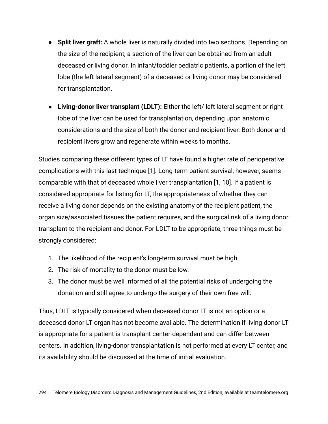- **Split liver graft:** A whole liver is naturally divided into two sections. Depending on the size of the recipient, a section of the liver can be obtained from an adult deceased or living donor. In infant/toddler pediatric patients, a portion of the left lobe (the left lateral segment) of a deceased or living donor may be considered for transplantation.
- **Living-donor liver transplant (LDLT):** Either the left/ left lateral segment or right lobe of the liver can be used for transplantation, depending upon anatomic considerations and the size of both the donor and recipient liver. Both donor and recipient livers grow and regenerate within weeks to months.

Studies comparing these different types of LT have found a higher rate of perioperative complications with this last technique [1]. Long-term patient survival, however, seems comparable with that of deceased whole liver transplantation [1, 10]. If a patient is considered appropriate for listing for LT, the appropriateness of whether they can receive a living donor depends on the existing anatomy of the recipient patient, the organ size/associated tissues the patient requires, and the surgical risk of a living donor transplant to the recipient and donor. For LDLT to be appropriate, three things must be strongly considered:

- 1. The likelihood of the recipient's long-term survival must be high.
- 2. The risk of mortality to the donor must be low.
- 3. The donor must be well informed of all the potential risks of undergoing the donation and still agree to undergo the surgery of their own free will.

Thus, LDLT is typically considered when deceased donor LT is not an option or a deceased donor LT organ has not become available. The determination if living donor LT is appropriate for a patient is transplant center-dependent and can differ between centers. In addition, living-donor transplantation is not performed at every LT center, and its availability should be discussed at the time of initial evaluation.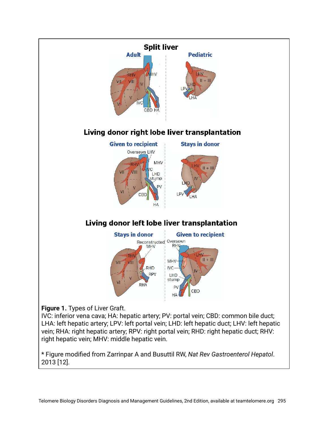

LHA: left hepatic artery; LPV: left portal vein; LHD: left hepatic duct; LHV: left hepatic vein; RHA: right hepatic artery; RPV: right portal vein; RHD: right hepatic duct; RHV: right hepatic vein; MHV: middle hepatic vein.

\* Figure modified from Zarrinpar A and Busuttil RW, *Nat Rev Gastroenterol Hepatol*. 2013 [12].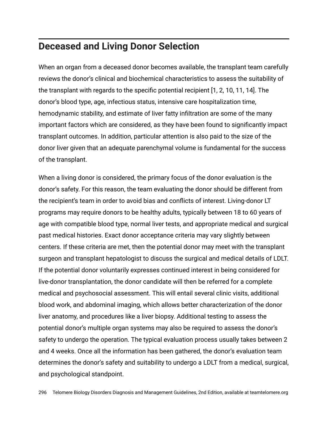#### **Deceased and Living Donor Selection**

When an organ from a deceased donor becomes available, the transplant team carefully reviews the donor's clinical and biochemical characteristics to assess the suitability of the transplant with regards to the specific potential recipient [1, 2, 10, 11, 14]. The donor's blood type, age, infectious status, intensive care hospitalization time, hemodynamic stability, and estimate of liver fatty infiltration are some of the many important factors which are considered, as they have been found to significantly impact transplant outcomes. In addition, particular attention is also paid to the size of the donor liver given that an adequate parenchymal volume is fundamental for the success of the transplant.

When a living donor is considered, the primary focus of the donor evaluation is the donor's safety. For this reason, the team evaluating the donor should be different from the recipient's team in order to avoid bias and conflicts of interest. Living-donor LT programs may require donors to be healthy adults, typically between 18 to 60 years of age with compatible blood type, normal liver tests, and appropriate medical and surgical past medical histories. Exact donor acceptance criteria may vary slightly between centers. If these criteria are met, then the potential donor may meet with the transplant surgeon and transplant hepatologist to discuss the surgical and medical details of LDLT. If the potential donor voluntarily expresses continued interest in being considered for live-donor transplantation, the donor candidate will then be referred for a complete medical and psychosocial assessment. This will entail several clinic visits, additional blood work, and abdominal imaging, which allows better characterization of the donor liver anatomy, and procedures like a liver biopsy. Additional testing to assess the potential donor's multiple organ systems may also be required to assess the donor's safety to undergo the operation. The typical evaluation process usually takes between 2 and 4 weeks. Once all the information has been gathered, the donor's evaluation team determines the donor's safety and suitability to undergo a LDLT from a medical, surgical, and psychological standpoint.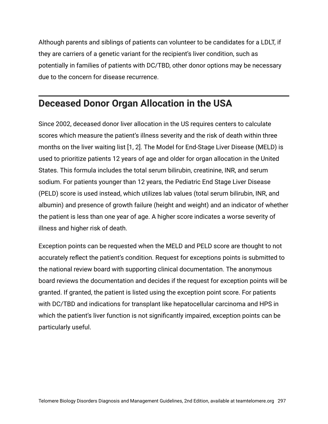Although parents and siblings of patients can volunteer to be candidates for a LDLT, if they are carriers of a genetic variant for the recipient's liver condition, such as potentially in families of patients with DC/TBD, other donor options may be necessary due to the concern for disease recurrence.

# **Deceased Donor Organ Allocation in the USA**

Since 2002, deceased donor liver allocation in the US requires centers to calculate scores which measure the patient's illness severity and the risk of death within three months on the liver waiting list [1, 2]. The Model for End-Stage Liver Disease (MELD) is used to prioritize patients 12 years of age and older for organ allocation in the United States. This formula includes the total serum bilirubin, creatinine, INR, and serum sodium. For patients younger than 12 years, the Pediatric End Stage Liver Disease (PELD) score is used instead, which utilizes lab values (total serum bilirubin, INR, and albumin) and presence of growth failure (height and weight) and an indicator of whether the patient is less than one year of age. A higher score indicates a worse severity of illness and higher risk of death.

Exception points can be requested when the MELD and PELD score are thought to not accurately reflect the patient's condition. Request for exceptions points is submitted to the national review board with supporting clinical documentation. The anonymous board reviews the documentation and decides if the request for exception points will be granted. If granted, the patient is listed using the exception point score. For patients with DC/TBD and indications for transplant like hepatocellular carcinoma and HPS in which the patient's liver function is not significantly impaired, exception points can be particularly useful.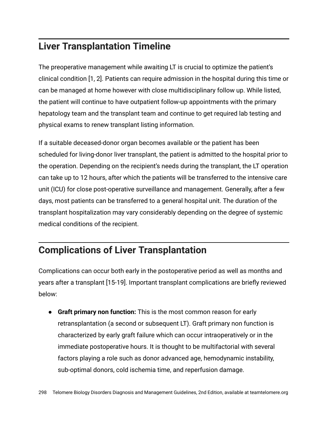# **Liver Transplantation Timeline**

The preoperative management while awaiting LT is crucial to optimize the patient's clinical condition [1, 2]. Patients can require admission in the hospital during this time or can be managed at home however with close multidisciplinary follow up. While listed, the patient will continue to have outpatient follow-up appointments with the primary hepatology team and the transplant team and continue to get required lab testing and physical exams to renew transplant listing information.

If a suitable deceased-donor organ becomes available or the patient has been scheduled for living-donor liver transplant, the patient is admitted to the hospital prior to the operation. Depending on the recipient's needs during the transplant, the LT operation can take up to 12 hours, after which the patients will be transferred to the intensive care unit (ICU) for close post-operative surveillance and management. Generally, after a few days, most patients can be transferred to a general hospital unit. The duration of the transplant hospitalization may vary considerably depending on the degree of systemic medical conditions of the recipient.

# **Complications of Liver Transplantation**

Complications can occur both early in the postoperative period as well as months and years after a transplant [15-19]. Important transplant complications are briefly reviewed below:

● **Graft primary non function:** This is the most common reason for early retransplantation (a second or subsequent LT). Graft primary non function is characterized by early graft failure which can occur intraoperatively or in the immediate postoperative hours. It is thought to be multifactorial with several factors playing a role such as donor advanced age, hemodynamic instability, sub-optimal donors, cold ischemia time, and reperfusion damage.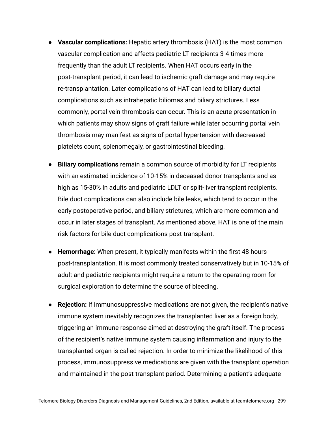- **Vascular complications:** Hepatic artery thrombosis (HAT) is the most common vascular complication and affects pediatric LT recipients 3-4 times more frequently than the adult LT recipients. When HAT occurs early in the post-transplant period, it can lead to ischemic graft damage and may require re-transplantation. Later complications of HAT can lead to biliary ductal complications such as intrahepatic biliomas and biliary strictures. Less commonly, portal vein thrombosis can occur. This is an acute presentation in which patients may show signs of graft failure while later occurring portal vein thrombosis may manifest as signs of portal hypertension with decreased platelets count, splenomegaly, or gastrointestinal bleeding.
- **Biliary complications** remain a common source of morbidity for LT recipients with an estimated incidence of 10-15% in deceased donor transplants and as high as 15-30% in adults and pediatric LDLT or split‐liver transplant recipients. Bile duct complications can also include bile leaks, which tend to occur in the early postoperative period, and biliary strictures, which are more common and occur in later stages of transplant. As mentioned above, HAT is one of the main risk factors for bile duct complications post-transplant.
- **Hemorrhage:** When present, it typically manifests within the first 48 hours post-transplantation. It is most commonly treated conservatively but in 10-15% of adult and pediatric recipients might require a return to the operating room for surgical exploration to determine the source of bleeding.
- **Rejection:** If immunosuppressive medications are not given, the recipient's native immune system inevitably recognizes the transplanted liver as a foreign body, triggering an immune response aimed at destroying the graft itself. The process of the recipient's native immune system causing inflammation and injury to the transplanted organ is called rejection. In order to minimize the likelihood of this process, immunosuppressive medications are given with the transplant operation and maintained in the post-transplant period. Determining a patient's adequate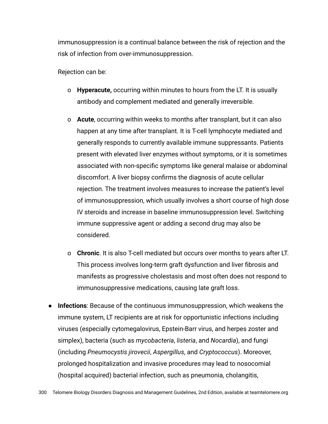immunosuppression is a continual balance between the risk of rejection and the risk of infection from over-immunosuppression.

Rejection can be:

- o **Hyperacute,** occurring within minutes to hours from the LT. It is usually antibody and complement mediated and generally irreversible.
- o **Acute**, occurring within weeks to months after transplant, but it can also happen at any time after transplant. It is T-cell lymphocyte mediated and generally responds to currently available immune suppressants. Patients present with elevated liver enzymes without symptoms, or it is sometimes associated with non-specific symptoms like general malaise or abdominal discomfort. A liver biopsy confirms the diagnosis of acute cellular rejection. The treatment involves measures to increase the patient's level of immunosuppression, which usually involves a short course of high dose IV steroids and increase in baseline immunosuppression level. Switching immune suppressive agent or adding a second drug may also be considered.
- o **Chronic**. It is also T-cell mediated but occurs over months to years after LT. This process involves long-term graft dysfunction and liver fibrosis and manifests as progressive cholestasis and most often does not respond to immunosuppressive medications, causing late graft loss.
- **Infections**: Because of the continuous immunosuppression, which weakens the immune system, LT recipients are at risk for opportunistic infections including viruses (especially cytomegalovirus, Epstein-Barr virus, and herpes zoster and simplex), bacteria (such as *mycobacteria*, *listeria*, and *Nocardia*), and fungi (including *Pneumocystis jirovecii*, *Aspergillus*, and *Cryptococcus*). Moreover, prolonged hospitalization and invasive procedures may lead to nosocomial (hospital acquired) bacterial infection, such as pneumonia, cholangitis,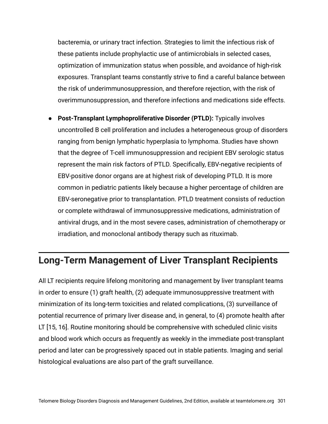bacteremia, or urinary tract infection. Strategies to limit the infectious risk of these patients include prophylactic use of antimicrobials in selected cases, optimization of immunization status when possible, and avoidance of high-risk exposures. Transplant teams constantly strive to find a careful balance between the risk of underimmunosuppression, and therefore rejection, with the risk of overimmunosuppression, and therefore infections and medications side effects.

● **Post-Transplant Lymphoproliferative Disorder (PTLD):** Typically involves uncontrolled B cell proliferation and includes a heterogeneous group of disorders ranging from benign lymphatic hyperplasia to lymphoma. Studies have shown that the degree of T-cell immunosuppression and recipient EBV serologic status represent the main risk factors of PTLD. Specifically, EBV-negative recipients of EBV-positive donor organs are at highest risk of developing PTLD. It is more common in pediatric patients likely because a higher percentage of children are EBV-seronegative prior to transplantation. PTLD treatment consists of reduction or complete withdrawal of immunosuppressive medications, administration of antiviral drugs, and in the most severe cases, administration of chemotherapy or irradiation, and monoclonal antibody therapy such as rituximab.

#### **Long-Term Management of Liver Transplant Recipients**

All LT recipients require lifelong monitoring and management by liver transplant teams in order to ensure (1) graft health, (2) adequate immunosuppressive treatment with minimization of its long-term toxicities and related complications, (3) surveillance of potential recurrence of primary liver disease and, in general, to (4) promote health after LT [15, 16]. Routine monitoring should be comprehensive with scheduled clinic visits and blood work which occurs as frequently as weekly in the immediate post-transplant period and later can be progressively spaced out in stable patients. Imaging and serial histological evaluations are also part of the graft surveillance.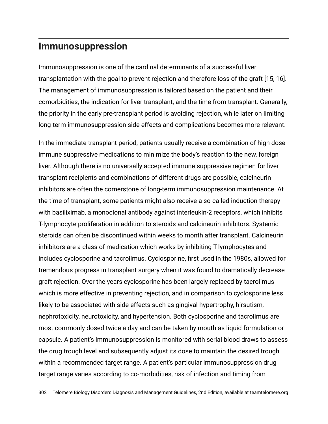#### **Immunosuppression**

Immunosuppression is one of the cardinal determinants of a successful liver transplantation with the goal to prevent rejection and therefore loss of the graft [15, 16]. The management of immunosuppression is tailored based on the patient and their comorbidities, the indication for liver transplant, and the time from transplant. Generally, the priority in the early pre-transplant period is avoiding rejection, while later on limiting long-term immunosuppression side effects and complications becomes more relevant.

In the immediate transplant period, patients usually receive a combination of high dose immune suppressive medications to minimize the body's reaction to the new, foreign liver. Although there is no universally accepted immune suppressive regimen for liver transplant recipients and combinations of different drugs are possible, calcineurin inhibitors are often the cornerstone of long-term immunosuppression maintenance. At the time of transplant, some patients might also receive a so-called induction therapy with basiliximab, a monoclonal antibody against interleukin-2 receptors, which inhibits T-lymphocyte proliferation in addition to steroids and calcineurin inhibitors. Systemic steroids can often be discontinued within weeks to month after transplant. Calcineurin inhibitors are a class of medication which works by inhibiting T-lymphocytes and includes cyclosporine and tacrolimus. Cyclosporine, first used in the 1980s, allowed for tremendous progress in transplant surgery when it was found to dramatically decrease graft rejection. Over the years cyclosporine has been largely replaced by tacrolimus which is more effective in preventing rejection, and in comparison to cyclosporine less likely to be associated with side effects such as gingival hypertrophy, hirsutism, nephrotoxicity, neurotoxicity, and hypertension. Both cyclosporine and tacrolimus are most commonly dosed twice a day and can be taken by mouth as liquid formulation or capsule. A patient's immunosuppression is monitored with serial blood draws to assess the drug trough level and subsequently adjust its dose to maintain the desired trough within a recommended target range. A patient's particular immunosuppression drug target range varies according to co-morbidities, risk of infection and timing from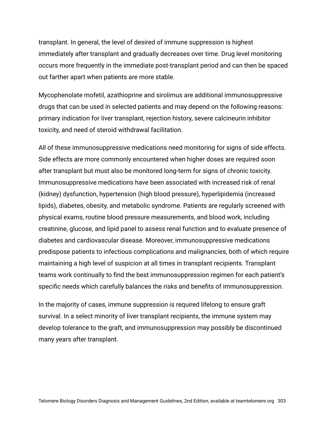transplant. In general, the level of desired of immune suppression is highest immediately after transplant and gradually decreases over time. Drug level monitoring occurs more frequently in the immediate post-transplant period and can then be spaced out farther apart when patients are more stable.

Mycophenolate mofetil, azathioprine and sirolimus are additional immunosuppressive drugs that can be used in selected patients and may depend on the following reasons: primary indication for liver transplant, rejection history, severe calcineurin inhibitor toxicity, and need of steroid withdrawal facilitation.

All of these immunosuppressive medications need monitoring for signs of side effects. Side effects are more commonly encountered when higher doses are required soon after transplant but must also be monitored long-term for signs of chronic toxicity. Immunosuppressive medications have been associated with increased risk of renal (kidney) dysfunction, hypertension (high blood pressure), hyperlipidemia (increased lipids), diabetes, obesity, and metabolic syndrome. Patients are regularly screened with physical exams, routine blood pressure measurements, and blood work, including creatinine, glucose, and lipid panel to assess renal function and to evaluate presence of diabetes and cardiovascular disease. Moreover, immunosuppressive medications predispose patients to infectious complications and malignancies, both of which require maintaining a high level of suspicion at all times in transplant recipients. Transplant teams work continually to find the best immunosuppression regimen for each patient's specific needs which carefully balances the risks and benefits of immunosuppression.

In the majority of cases, immune suppression is required lifelong to ensure graft survival. In a select minority of liver transplant recipients, the immune system may develop tolerance to the graft, and immunosuppression may possibly be discontinued many years after transplant.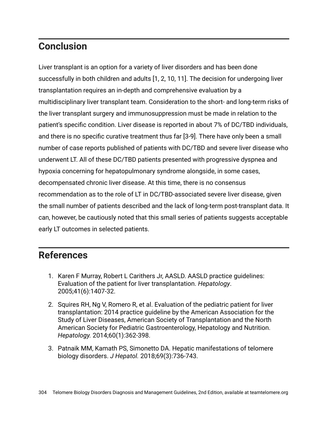# **Conclusion**

Liver transplant is an option for a variety of liver disorders and has been done successfully in both children and adults [1, 2, 10, 11]. The decision for undergoing liver transplantation requires an in-depth and comprehensive evaluation by a multidisciplinary liver transplant team. Consideration to the short- and long-term risks of the liver transplant surgery and immunosuppression must be made in relation to the patient's specific condition. Liver disease is reported in about 7% of DC/TBD individuals, and there is no specific curative treatment thus far [3-9]. There have only been a small number of case reports published of patients with DC/TBD and severe liver disease who underwent LT. All of these DC/TBD patients presented with progressive dyspnea and hypoxia concerning for hepatopulmonary syndrome alongside, in some cases, decompensated chronic liver disease. At this time, there is no consensus recommendation as to the role of LT in DC/TBD-associated severe liver disease, given the small number of patients described and the lack of long-term post-transplant data. It can, however, be cautiously noted that this small series of patients suggests acceptable early LT outcomes in selected patients.

#### **References**

- 1. Karen F Murray, Robert L Carithers Jr, AASLD. AASLD practice guidelines: Evaluation of the patient for liver transplantation. *Hepatology*. 2005;41(6):1407-32.
- 2. Squires RH, Ng V, Romero R, et al. Evaluation of the pediatric patient for liver transplantation: 2014 practice guideline by the American Association for the Study of Liver Diseases, American Society of Transplantation and the North American Society for Pediatric Gastroenterology, Hepatology and Nutrition. *Hepatology.* 2014;60(1):362-398.
- 3. Patnaik MM, Kamath PS, Simonetto DA. Hepatic manifestations of telomere biology disorders. *J Hepatol.* 2018;69(3):736-743.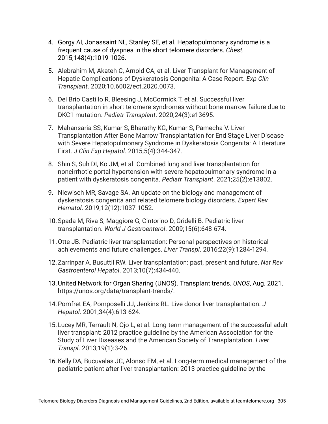- 4. Gorgy AI, Jonassaint NL, Stanley SE, et al. Hepatopulmonary syndrome is a frequent cause of dyspnea in the short telomere disorders. *Chest.* 2015;148(4):1019-1026.
- 5. Alebrahim M, Akateh C, Arnold CA, et al. Liver Transplant for Management of Hepatic Complications of Dyskeratosis Congenita: A Case Report. *Exp Clin Transplant*. 2020;10.6002/ect.2020.0073.
- 6. Del Brío Castillo R, Bleesing J, McCormick T, et al. Successful liver transplantation in short telomere syndromes without bone marrow failure due to DKC1 mutation. *Pediatr Transplant*. 2020;24(3):e13695.
- 7. Mahansaria SS, Kumar S, Bharathy KG, Kumar S, Pamecha V. Liver Transplantation After Bone Marrow Transplantation for End Stage Liver Disease with Severe Hepatopulmonary Syndrome in Dyskeratosis Congenita: A Literature First. *J Clin Exp Hepatol*. 2015;5(4):344-347.
- 8. Shin S, Suh DI, Ko JM, et al. Combined lung and liver transplantation for noncirrhotic portal hypertension with severe hepatopulmonary syndrome in a patient with dyskeratosis congenita. *Pediatr Transplant*. 2021;25(2):e13802.
- 9. Niewisch MR, Savage SA. An update on the biology and management of dyskeratosis congenita and related telomere biology disorders. *Expert Rev Hematol*. 2019;12(12):1037-1052.
- 10.Spada M, Riva S, Maggiore G, Cintorino D, Gridelli B. Pediatric liver transplantation. *World J Gastroenterol*. 2009;15(6):648-674.
- 11.Otte JB. Pediatric liver transplantation: Personal perspectives on historical achievements and future challenges. *Liver Transpl*. 2016;22(9):1284-1294.
- 12.Zarrinpar A, Busuttil RW. Liver transplantation: past, present and future. *Nat Rev Gastroenterol Hepatol*. 2013;10(7):434-440.
- 13.United Network for Organ Sharing (UNOS). Transplant trends. *UNOS*, Aug. 2021, <https://unos.org/data/transplant-trends/>.
- 14.Pomfret EA, Pomposelli JJ, Jenkins RL. Live donor liver transplantation. *J Hepatol*. 2001;34(4):613-624.
- 15.Lucey MR, Terrault N, Ojo L, et al. Long-term management of the successful adult liver transplant: 2012 practice guideline by the American Association for the Study of Liver Diseases and the American Society of Transplantation. *Liver Transpl*. 2013;19(1):3-26.
- 16.Kelly DA, Bucuvalas JC, Alonso EM, et al. Long-term medical management of the pediatric patient after liver transplantation: 2013 practice guideline by the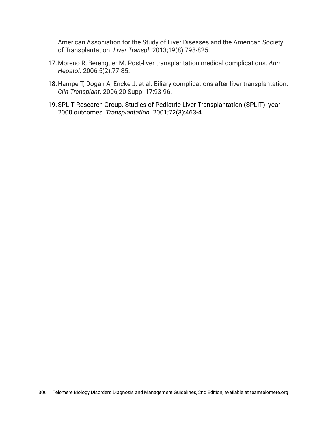American Association for the Study of Liver Diseases and the American Society of Transplantation. *Liver Transpl*. 2013;19(8):798-825.

- 17.Moreno R, Berenguer M. Post-liver transplantation medical complications. *Ann Hepatol*. 2006;5(2):77-85.
- 18.Hampe T, Dogan A, Encke J, et al. Biliary complications after liver transplantation. *Clin Transplant*. 2006;20 Suppl 17:93-96.
- 19.SPLIT Research Group. Studies of Pediatric Liver Transplantation (SPLIT): year 2000 outcomes. *Transplantation.* 2001;72(3):463-4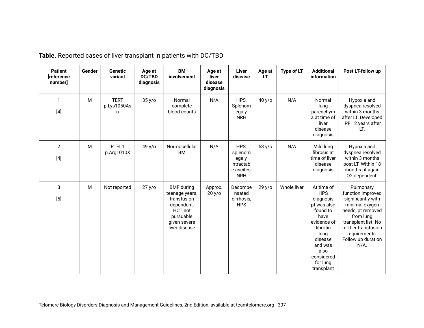| <b>Patient</b><br>[reference<br>number] | Gender | <b>Genetic</b><br>variant       | Age at<br><b>DC/TBD</b><br>diagnosis | <b>BM</b><br>involvement                                                                                                         | Age at<br>liver<br>disease<br>diagnosis | Liver<br>disease                                                    | Age at<br>LT | Type of LT  | <b>Additional</b><br>information                                                                                                                                                  | Post LT-follow up                                                                                                                                                                                        |
|-----------------------------------------|--------|---------------------------------|--------------------------------------|----------------------------------------------------------------------------------------------------------------------------------|-----------------------------------------|---------------------------------------------------------------------|--------------|-------------|-----------------------------------------------------------------------------------------------------------------------------------------------------------------------------------|----------------------------------------------------------------------------------------------------------------------------------------------------------------------------------------------------------|
| 1<br>$[4]$                              | M      | <b>TERT</b><br>p.Lys1050As<br>n | 35 y/o                               | Normal<br>complete<br>blood counts                                                                                               | N/A                                     | HPS,<br>Splenom<br>egaly,<br><b>NRH</b>                             | 40 y/o       | N/A         | Normal<br>lung<br>parenchym<br>a at time of<br>liver<br>disease<br>diagnosis                                                                                                      | Hypoxia and<br>dyspnea resolved<br>within 3 months<br>after LT. Developed<br>IPF 12 years after<br>LT.                                                                                                   |
| $\overline{2}$<br>$[4]$                 | M      | RTEL1<br>p.Arg1010X             | 49 y/o                               | Normocellular<br><b>BM</b>                                                                                                       | N/A                                     | HPS,<br>splenom<br>egaly,<br>intractabl<br>e ascites,<br><b>NRH</b> | 53 y/o       | N/A         | Mild lung<br>fibrosis at<br>time of liver<br>disease<br>diagnosis                                                                                                                 | Hypoxia and<br>dyspnea resolved<br>within 3 months<br>post LT. Within 18<br>months pt again<br>02 dependent.                                                                                             |
| 3<br>$[5]$                              | M      | Not reported                    | 27 y/o                               | <b>BMF</b> during<br>teenage years,<br>transfusion<br>dependent,<br><b>HCT</b> not<br>pursuable<br>given severe<br>liver disease | Approx.<br>20 y/o                       | Decompe<br>nsated<br>cirrhosis,<br><b>HPS</b>                       | 29y/o        | Whole liver | At time of<br><b>HPS</b><br>diagnosis<br>pt was also<br>found to<br>have<br>evidence of<br>fibrotic<br>lung<br>disease<br>and was<br>also<br>considered<br>for lung<br>transplant | Pulmonary<br>function improved<br>significantly with<br>minimal oxygen<br>needs; pt removed<br>from lung<br>transplant list. No<br>further transfusion<br>requirements.<br>Follow up duration<br>$N/A$ . |

**Table.** Reported cases of liver transplant in patients with DC/TBD